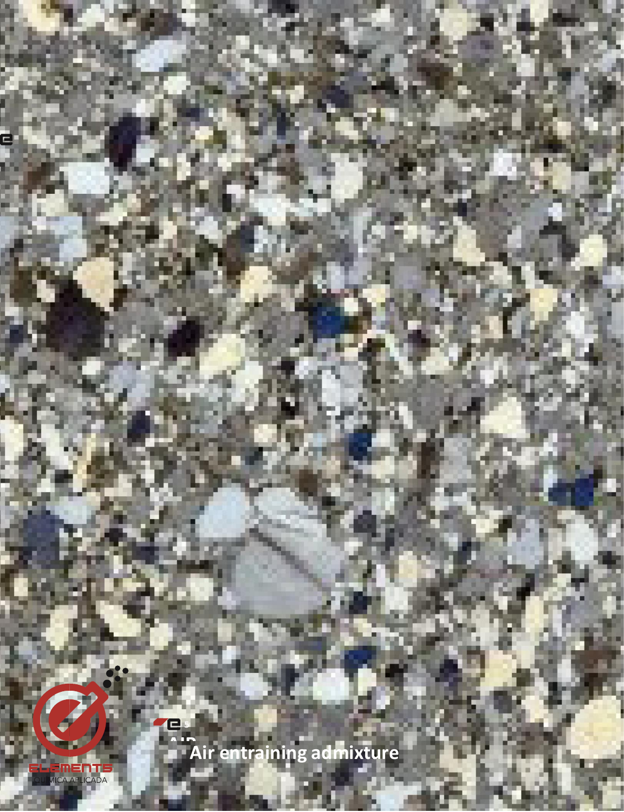Air entraining admixture

THEMENTE<br>DUMICA APLICADA

E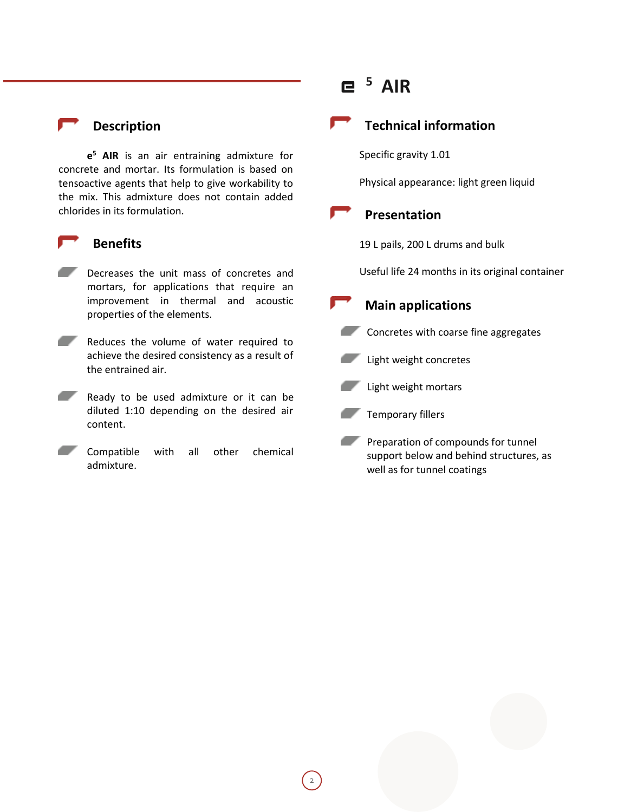#### **Description**

**e <sup>5</sup> AIR** is an air entraining admixture for concrete and mortar. Its formulation is based on tensoactive agents that help to give workability to the mix. This admixture does not contain added chlorides in its formulation.

#### **Benefits**

- Decreases the unit mass of concretes and mortars, for applications that require an improvement in thermal and acoustic properties of the elements.
- Reduces the volume of water required to achieve the desired consistency as a result of the entrained air.
- Ready to be used admixture or it can be diluted 1:10 depending on the desired air content.
- Compatible with all other chemical admixture.

# **5 AIR**

## **Technical information**

Specific gravity 1.01

Physical appearance: light green liquid

### **Presentation**

19 L pails, 200 L drums and bulk

Useful life 24 months in its original container

# **Main applications**

**Concretes with coarse fine aggregates** 



Light weight mortars



Preparation of compounds for tunnel support below and behind structures, as well as for tunnel coatings

2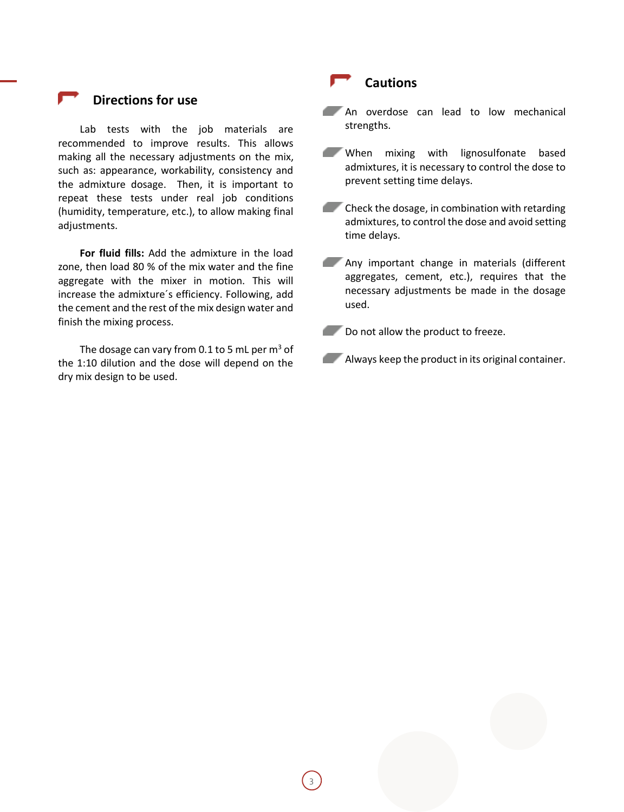#### **Directions for use**

Lab tests with the job materials are recommended to improve results. This allows making all the necessary adjustments on the mix, such as: appearance, workability, consistency and the admixture dosage. Then, it is important to repeat these tests under real job conditions (humidity, temperature, etc.), to allow making final adjustments.

**For fluid fills:** Add the admixture in the load zone, then load 80 % of the mix water and the fine aggregate with the mixer in motion. This will increase the admixture´s efficiency. Following, add the cement and the rest of the mix design water and finish the mixing process.

The dosage can vary from 0.1 to 5 mL per  $m<sup>3</sup>$  of the 1:10 dilution and the dose will depend on the dry mix design to be used.

#### **Cautions**

An overdose can lead to low mechanical strengths.

When mixing with lignosulfonate based admixtures, it is necessary to control the dose to prevent setting time delays.

 $\blacksquare$  Check the dosage, in combination with retarding admixtures, to control the dose and avoid setting time delays.

**Any important change in materials (different** aggregates, cement, etc.), requires that the necessary adjustments be made in the dosage used.

Do not allow the product to freeze.

**Always keep the product in its original container.**